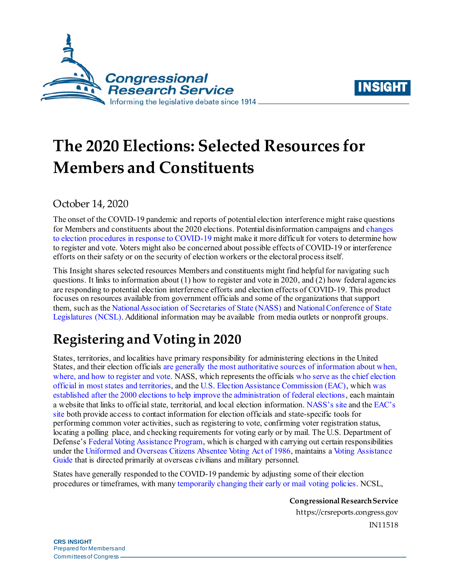



# **The 2020 Elections: Selected Resources for Members and Constituents**

## October 14, 2020

The onset of the COVID-19 pandemic and reports of potential election interference might raise questions for Members and constituents about the 2020 elections. Potential disinformation campaigns an[d changes](https://www.ncsl.org/research/elections-and-campaigns/covid-19-how-s-it-changing-elections.aspx)  [to election procedures in response to COVID-19](https://www.ncsl.org/research/elections-and-campaigns/covid-19-how-s-it-changing-elections.aspx) might make it more difficult for voters to determine how to register and vote. Voters might also be concerned about possible effects of COVID-19 or interference efforts on their safety or on the security of election workers or the electoral process itself.

This Insight shares selected resources Members and constituents might find helpful for navigating such questions. It links to information about  $(1)$  how to register and vote in 2020, and  $(2)$  how federal agencies are responding to potential election interference efforts and election effects of COVID-19. This product focuses on resources available from government officials and some of the organizations that support them, such as the [National Association of Secretaries of State \(NASS\)](https://www.nass.org/about-nass) an[d National Conference of State](https://www.ncsl.org/aboutus.aspx)  [Legislatures \(NCSL\).](https://www.ncsl.org/aboutus.aspx) Additional information may be available from media outlets or nonprofit groups.

## **Registering and Voting in 2020**

States, territories, and localities have primary responsibility for administering elections in the United States, and their election officials [are generally the most authoritative](https://www.nass.org/initiatives/trustedinfo-2020) sources of information about when, [where, and how to register and vote.](https://www.nass.org/initiatives/trustedinfo-2020) NASS, which represents the official[s who serve as the chief election](https://www.nass.org/es/node/95)  [official in most states and territories,](https://www.nass.org/es/node/95) and th[e U.S. Election Assistance Commission \(EAC\),](https://www.eac.gov/about-the-useac) whic[h was](https://crsreports.congress.gov/product/pdf/R/R45770)  established [after the 2000 elections to help improve the administration of federal elections,](https://crsreports.congress.gov/product/pdf/R/R45770) each maintain a website that links to official state, territorial, and local election information[. NASS's site](https://www.nass.org/can-I-vote) and th[e EAC's](https://www.eac.gov/voters/register-and-vote-in-your-state)  [site](https://www.eac.gov/voters/register-and-vote-in-your-state) both provide access to contact information for election officials and state-specific tools for performing common voter activities, such as registering to vote, confirming voter registration status, locating a polling place, and checking requirements for voting early or by mail. The U.S. Department of Defense'[s Federal Voting Assistance Program](https://www.fvap.gov/info/about), which is charged with carrying out certain responsibilities under the [Uniformed and Overseas Citizens Absentee Voting Act of 1986,](https://crsreports.congress.gov/product/pdf/RS/RS20764) maintains a Voting [Assistance](https://www.fvap.gov/guide)  [Guide](https://www.fvap.gov/guide) that is directed primarily at overseas civilians and military personnel.

States have generally responded to the COVID-19 pandemic by adjusting some of their election procedures or timeframes, with many [temporarily changing their early or mail voting policies.](https://crsreports.congress.gov/product/pdf/IN/IN11356) NCSL,

> **Congressional Research Service** https://crsreports.congress.gov IN11518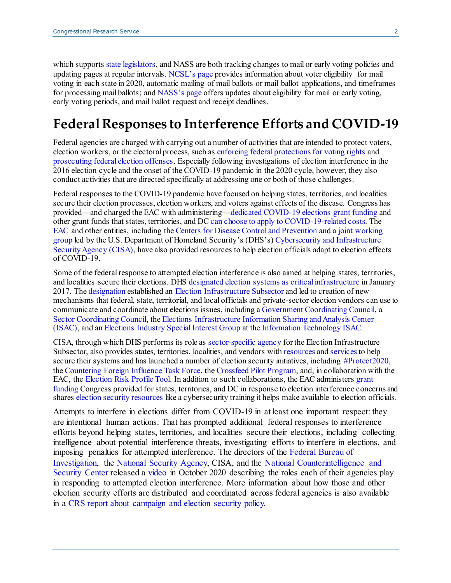which supports state [legislators,](https://crsreports.congress.gov/product/pdf/R/R45549) and NASS are both tracking changes to mail or early voting policies and updating pages at regular intervals. [NCSL's page](https://www.ncsl.org/research/elections-and-campaigns/absentee-and-mail-voting-policies-in-effect-for-the-2020-election.aspx) provides information about voter eligibility for mail voting in each state in 2020, automatic mailing of mail ballots or mail ballot applications, and timeframes for processing mail ballots; an[d NASS's page](https://www.nass.org/node/1967) offers updates about eligibility for mail or early voting, early voting periods, and mail ballot request and receipt deadlines.

## **Federal Responses to Interference Efforts and COVID-19**

Federal agencies are charged with carrying out a number of activities that are intended to protect voters, election workers, or the electoral process, such a[s enforcing federal protections for voting rights](https://www.justice.gov/crt/voting-section) and [prosecuting federal election offenses.](https://www.justice.gov/criminal/file/1029066/download) Especially following investigations of election interference in the 2016 election cycle and the onset of the COVID-19 pandemic in the 2020 cycle, however, they also conduct activities that are directed specifically at addressing one or both of those challenges.

Federal responses to the COVID-19 pandemic have focused on helping states, territories, and localities secure their election processes, election workers, and voters against effects of the disease. Congress has provided—and charged the EAC with administering[—dedicated COVID-19 elections grant funding](https://www.eac.gov/payments-and-grants/2020-cares-act-grants) and other grant funds that states, territories, and DC [can choose to apply to COVID-19-related costs](https://www.eac.gov/election-officials/guidance-use-hava-funds-expenses-related-covid-19). The [EAC](https://www.eac.gov/election-officials/coronavirus-covid-19-resources) and other entities, including th[e Centers for Disease Control and Prevention](https://www.cdc.gov/coronavirus/2019-ncov/community/election-polling-locations.html) and a joint working [group](https://www.eac.gov/election-officials/voting-by-mail-absentee-voting) led by the U.S. Department of Homeland Security's (DHS's[\) Cybersecurity and Infrastructure](https://www.cisa.gov/about-cisa)  [Security Agency \(CISA\),](https://www.cisa.gov/about-cisa) have also provided resources to help election officials adapt to election effects of COVID-19.

Some of the federal response to attempted election interference is also aimed at helping states, territories, and localities secure their elections. DHS [designated election systems as critical infrastructure](https://www.dhs.gov/news/2017/01/06/statement-secretary-johnson-designation-election-infrastructure-critical) in January 2017. The [designation e](https://crsreports.congress.gov/product/pdf/IF/IF10677)stablished an [Election Infrastructure Subsector](https://crsreports.congress.gov/product/pdf/IF/IF11445) and led to creation of new mechanisms that federal, state, territorial, and local officials and private-sector election vendors can use to communicate and coordinate about elections issues, including [a Government Coordinating Council,](https://www.cisa.gov/government-coordinating-councils) a [Sector Coordinating Council,](https://www.cisa.gov/sector-coordinating-councils) th[e Elections Infrastructure Information Sharing and Analysis Center](https://www.cisecurity.org/ei-isac/)  [\(ISAC\),](https://www.cisecurity.org/ei-isac/) and a[n Elections Industry Special Interest Group](https://www.it-isac.org/special-interest-groups) at th[e Information Technology ISAC](https://www.it-isac.org/about).

CISA, through which DHS performs its role a[s sector-specific agency](https://www.cisa.gov/sector-specific-agencies) for the Election Infrastructure Subsector, also provides states, territories, localities, and vendors wit[h resources](https://www.cisa.gov/election-security-library) an[d services](https://www.cisa.gov/sites/default/files/publications/19_0531_cisa_election-security-resources-guide-may-2019.pdf) to help secure their systems and has launched a number of election security initiatives, including [#Protect2020](https://www.cisa.gov/protect2020), the [Countering Foreign Influence Task Force](https://www.cisa.gov/cfi-task-force), th[e Crossfeed Pilot Program](https://www.cisa.gov/crossfeed), and, in collaboration with the EAC, th[e Election Risk Profile Tool.](https://www.cisa.gov/election-risk-profile-tool) In addition to such collaborations, the EAC administers [grant](https://www.eac.gov/payments-and-grants/election-security-funds)  [funding](https://www.eac.gov/payments-and-grants/election-security-funds) Congress provided for states, territories, and DC in response to election interference concerns and shares [election security resources](https://www.eac.gov/election-officials/election-security-preparedness) like a cybersecurity training it helps make available to election officials.

Attempts to interfere in elections differ from COVID-19 in at least one important respect: they are intentional human actions. That has prompted additional federal responses to interference efforts beyond helping states, territories, and localities secure their elections, including collecting intelligence about potential interference threats, investigating efforts to interfere in elections, and imposing penalties for attempted interference. The directors of the [Federal Bureau of](https://www.fbi.gov/about)  [Investigation,](https://www.fbi.gov/about) the [National Security Agency,](https://www.nsa.gov/about/) CISA, and the [National Counterintelligence and](https://www.dni.gov/index.php/ncsc-home)  [Security Center](https://www.dni.gov/index.php/ncsc-home) released a [video i](https://www.fbi.gov/video-repository/interagency-election-security-psa-100520.mp4/view)n October 2020 describing the roles each of their agencies play in responding to attempted election interference. More information about how those and other election security efforts are distributed and coordinated across federal agencies is also available in a [CRS report about campaign and election security policy.](https://crsreports.congress.gov/product/pdf/R/R46146)